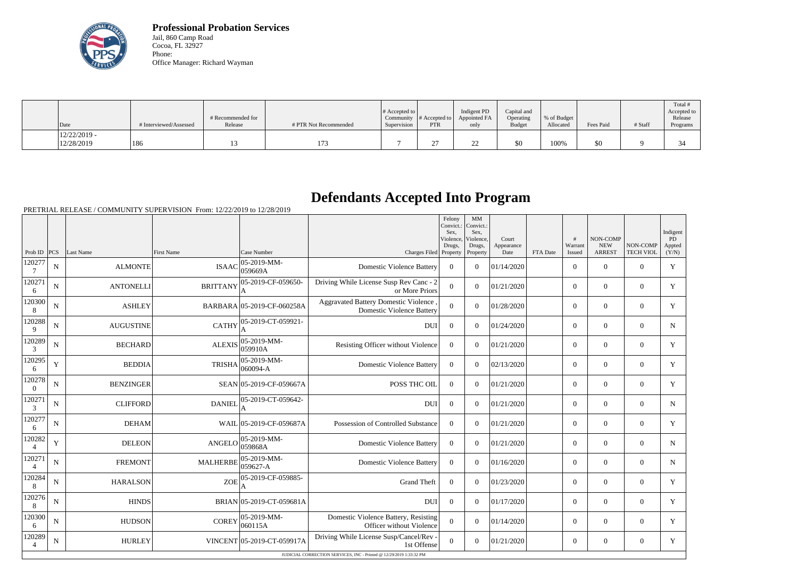

**Professional Probation Services** Jail, 860 Camp Road Cocoa, FL 32927 Phone: Office Manager: Richard Wayman

| $\vert$ Date                 | # Interviewed/Assessed | # Recommended for<br>Release | # PTR Not Recommended | # Accepted to<br>Supervision | Community $ #$ Accepted to $ $<br><b>PTR</b> | Indigent PD<br>Appointed FA<br>only | Capital and<br>Operating<br><b>Budget</b> | % of Budget<br>Allocated | Fees Paid | # Staff | Total<br>Accepted to<br>Release<br>Programs |
|------------------------------|------------------------|------------------------------|-----------------------|------------------------------|----------------------------------------------|-------------------------------------|-------------------------------------------|--------------------------|-----------|---------|---------------------------------------------|
| $12/22/2019$ -<br>12/28/2019 | 186                    |                              | 173                   |                              | ∼                                            | ∠∠                                  | \$0                                       | 100%                     | \$0       |         |                                             |

## **Defendants Accepted Into Program**

PRETRIAL RELEASE / COMMUNITY SUPERVISION From: 12/22/2019 to 12/28/2019

|                          |             |                  |                 |                                |                                                                           | Felony<br>Convict.:<br>Sex.<br>Violence | MM<br>Convict.:<br>Sex,<br>Violence. | Court              |          | #                 | <b>NON-COMP</b>             |                              | Indigent<br>PD  |
|--------------------------|-------------|------------------|-----------------|--------------------------------|---------------------------------------------------------------------------|-----------------------------------------|--------------------------------------|--------------------|----------|-------------------|-----------------------------|------------------------------|-----------------|
| Prob ID                  | PCS         | Last Name        | First Name      | Case Number                    | Charges Filed Property                                                    | Drugs,                                  | Drugs,<br>Property                   | Appearance<br>Date | FTA Date | Warrant<br>Issued | <b>NEW</b><br><b>ARREST</b> | NON-COMP<br><b>TECH VIOL</b> | Appted<br>(Y/N) |
| 120277<br>-7             | N           | <b>ALMONTE</b>   | <b>ISAAC</b>    | 05-2019-MM-<br>059669A         | <b>Domestic Violence Battery</b>                                          | $\overline{0}$                          | $\Omega$                             | 01/14/2020         |          | $\overline{0}$    | $\theta$                    | $\Omega$                     | Y               |
| 120271<br>6              | $\mathbf N$ | <b>ANTONELLI</b> | <b>BRITTANY</b> | 05-2019-CF-059650-             | Driving While License Susp Rev Canc - 2<br>or More Priors                 | $\overline{0}$                          | $\Omega$                             | 01/21/2020         |          | $\overline{0}$    | $\theta$                    | $\overline{0}$               | Y               |
| 120300<br>8              | $\mathbf N$ | <b>ASHLEY</b>    |                 | BARBARA 05-2019-CF-060258A     | Aggravated Battery Domestic Violence,<br><b>Domestic Violence Battery</b> | $\overline{0}$                          | $\Omega$                             | 01/28/2020         |          | $\overline{0}$    | $\boldsymbol{0}$            | $\overline{0}$               | Y               |
| 120288<br>9              | $\mathbf N$ | <b>AUGUSTINE</b> | <b>CATHY</b>    | 05-2019-CT-059921-             | <b>DUI</b>                                                                | $\boldsymbol{0}$                        | $\Omega$                             | 01/24/2020         |          | $\overline{0}$    | $\theta$                    | $\overline{0}$               | N               |
| 120289<br>3              | N           | <b>BECHARD</b>   | <b>ALEXIS</b>   | $ 05 - 2019 - MM -$<br>059910A | Resisting Officer without Violence                                        | $\overline{0}$                          | $\Omega$                             | 01/21/2020         |          | $\overline{0}$    | $\overline{0}$              | $\overline{0}$               | Y               |
| 120295<br>6              | Y           | <b>BEDDIA</b>    | <b>TRISHA</b>   | $ 05-2019-MM -$<br>$ 060094-A$ | <b>Domestic Violence Battery</b>                                          | $\overline{0}$                          | $\Omega$                             | 02/13/2020         |          | $\overline{0}$    | $\theta$                    | $\overline{0}$               | Y               |
| 120278<br>$\overline{0}$ | N           | <b>BENZINGER</b> |                 | SEAN 05-2019-CF-059667A        | POSS THC OIL                                                              | $\overline{0}$                          | $\Omega$                             | 01/21/2020         |          | $\overline{0}$    | $\theta$                    | $\overline{0}$               | Y               |
| 120271<br>$\mathfrak{Z}$ | $\mathbf N$ | <b>CLIFFORD</b>  | <b>DANIEL</b>   | 05-2019-CT-059642-             | <b>DUI</b>                                                                | $\boldsymbol{0}$                        | $\Omega$                             | 01/21/2020         |          | $\overline{0}$    | $\theta$                    | $\Omega$                     | $\mathbf N$     |
| 120277<br>6              | $\mathbf N$ | <b>DEHAM</b>     |                 | WAIL 05-2019-CF-059687A        | Possession of Controlled Substance                                        | $\Omega$                                | $\Omega$                             | 01/21/2020         |          | $\overline{0}$    | $\theta$                    | $\overline{0}$               | Y               |
| 120282                   | Y           | <b>DELEON</b>    | ANGELO          | $ 05 - 2019 - MM -$<br>059868A | <b>Domestic Violence Battery</b>                                          | $\theta$                                | $\Omega$                             | 01/21/2020         |          | $\overline{0}$    | $\theta$                    | $\overline{0}$               | $\mathbf N$     |
| 120271<br>$\overline{4}$ | $\mathbf N$ | <b>FREMONT</b>   | <b>MALHERBE</b> | 05-2019-MM-<br>059627-A        | <b>Domestic Violence Battery</b>                                          | $\Omega$                                | $\Omega$                             | 01/16/2020         |          | $\overline{0}$    | $\mathbf{0}$                | $\overline{0}$               | $\mathbf N$     |
| 120284<br>8              | $\mathbf N$ | <b>HARALSON</b>  | <b>ZOE</b>      | 05-2019-CF-059885-             | <b>Grand Theft</b>                                                        | $\boldsymbol{0}$                        | $\Omega$                             | 01/23/2020         |          | $\overline{0}$    | $\theta$                    | $\overline{0}$               | Y               |
| 120276<br>8              | N           | <b>HINDS</b>     |                 | BRIAN 05-2019-CT-059681A       | <b>DUI</b>                                                                | $\boldsymbol{0}$                        | $\Omega$                             | 01/17/2020         |          | $\overline{0}$    | $\theta$                    | $\overline{0}$               | Y               |
| 120300<br>6              | $\mathbf N$ | <b>HUDSON</b>    | <b>COREY</b>    | $ 05-2019-MM-$<br> 060115A     | Domestic Violence Battery, Resisting<br>Officer without Violence          | $\overline{0}$                          | $\Omega$                             | 01/14/2020         |          | $\overline{0}$    | $\theta$                    | $\overline{0}$               | Y               |
| 120289<br>$\overline{4}$ | N           | <b>HURLEY</b>    |                 | VINCENT 05-2019-CT-059917A     | Driving While License Susp/Cancel/Rev -<br>1st Offense                    | $\overline{0}$                          | $\Omega$                             | 01/21/2020         |          | $\overline{0}$    | $\mathbf{0}$                | $\overline{0}$               | Y               |
|                          |             |                  |                 |                                | JUDICIAL CORRECTION SERVICES, INC - Printed @ 12/29/2019 1:33:32 PM       |                                         |                                      |                    |          |                   |                             |                              |                 |